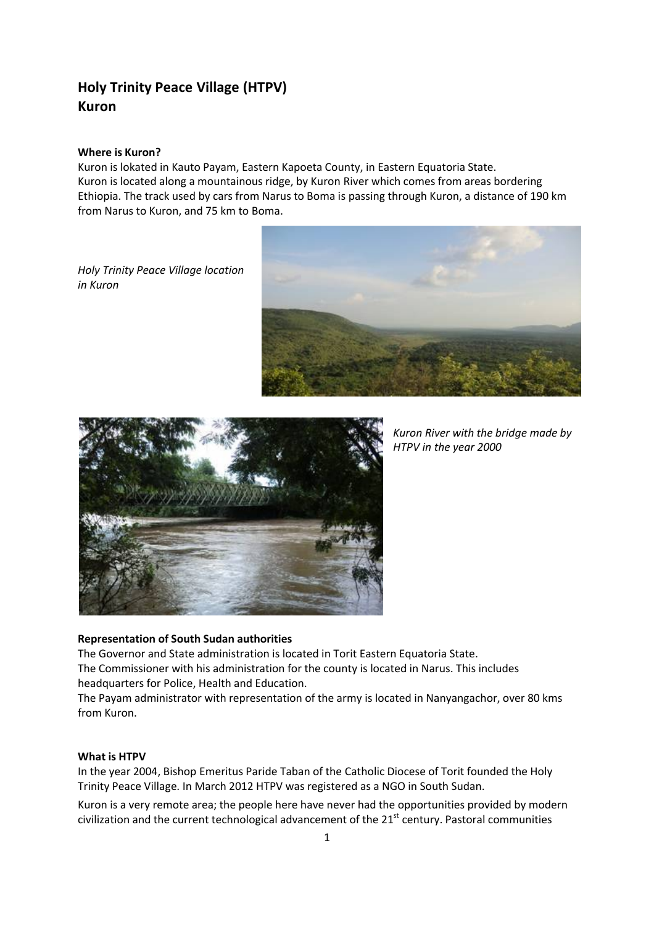# **Holy Trinity Peace Village (HTPV) Kuron**

### **Where is Kuron?**

Kuron is lokated in Kauto Payam, Eastern Kapoeta County, in Eastern Equatoria State. Kuron is located along a mountainous ridge, by Kuron River which comes from areas bordering Ethiopia. The track used by cars from Narus to Boma is passing through Kuron, a distance of 190 km from Narus to Kuron, and 75 km to Boma.

*Holy Trinity Peace Village location in Kuron*





*Kuron River with the bridge made by HTPV in the year 2000*

## **Representation of South Sudan authorities**

The Governor and State administration is located in Torit Eastern Equatoria State.

The Commissioner with his administration for the county is located in Narus. This includes headquarters for Police, Health and Education.

The Payam administrator with representation of the army is located in Nanyangachor, over 80 kms from Kuron.

#### **What is HTPV**

In the year 2004, Bishop Emeritus Paride Taban of the Catholic Diocese of Torit founded the Holy Trinity Peace Village. In March 2012 HTPV was registered as a NGO in South Sudan.

Kuron is a very remote area; the people here have never had the opportunities provided by modern civilization and the current technological advancement of the 21<sup>st</sup> century. Pastoral communities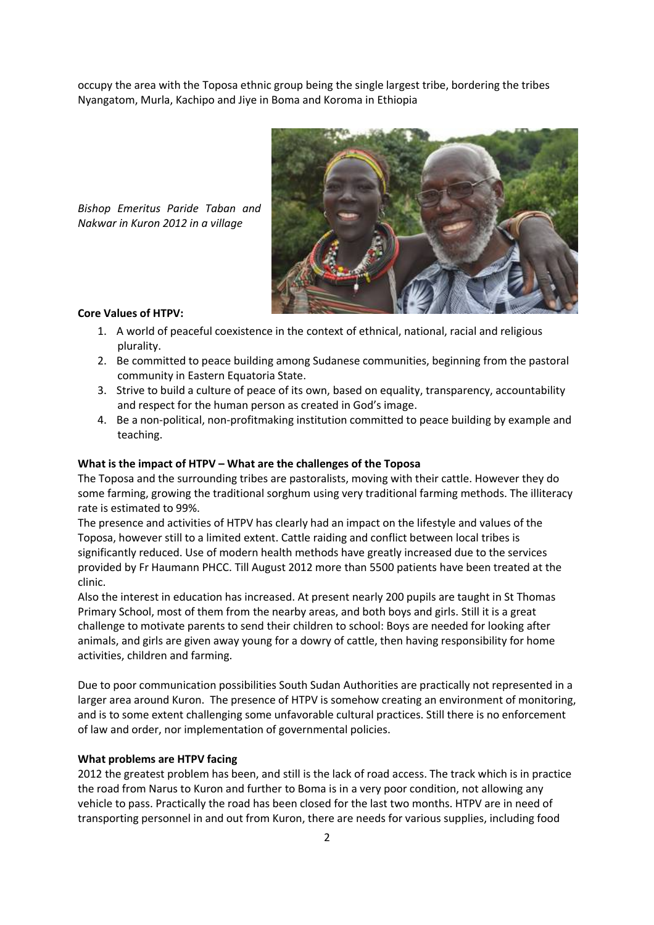occupy the area with the Toposa ethnic group being the single largest tribe, bordering the tribes Nyangatom, Murla, Kachipo and Jiye in Boma and Koroma in Ethiopia



*Bishop Emeritus Paride Taban and Nakwar in Kuron 2012 in a village*

## **Core Values of HTPV:**

- 1. A world of peaceful coexistence in the context of ethnical, national, racial and religious plurality.
- 2. Be committed to peace building among Sudanese communities, beginning from the pastoral community in Eastern Equatoria State.
- 3. Strive to build a culture of peace of its own, based on equality, transparency, accountability and respect for the human person as created in God's image.
- 4. Be a non-political, non-profitmaking institution committed to peace building by example and teaching.

## **What is the impact of HTPV – What are the challenges of the Toposa**

The Toposa and the surrounding tribes are pastoralists, moving with their cattle. However they do some farming, growing the traditional sorghum using very traditional farming methods. The illiteracy rate is estimated to 99%.

The presence and activities of HTPV has clearly had an impact on the lifestyle and values of the Toposa, however still to a limited extent. Cattle raiding and conflict between local tribes is significantly reduced. Use of modern health methods have greatly increased due to the services provided by Fr Haumann PHCC. Till August 2012 more than 5500 patients have been treated at the clinic.

Also the interest in education has increased. At present nearly 200 pupils are taught in St Thomas Primary School, most of them from the nearby areas, and both boys and girls. Still it is a great challenge to motivate parents to send their children to school: Boys are needed for looking after animals, and girls are given away young for a dowry of cattle, then having responsibility for home activities, children and farming.

Due to poor communication possibilities South Sudan Authorities are practically not represented in a larger area around Kuron. The presence of HTPV is somehow creating an environment of monitoring, and is to some extent challenging some unfavorable cultural practices. Still there is no enforcement of law and order, nor implementation of governmental policies.

#### **What problems are HTPV facing**

2012 the greatest problem has been, and still is the lack of road access. The track which is in practice the road from Narus to Kuron and further to Boma is in a very poor condition, not allowing any vehicle to pass. Practically the road has been closed for the last two months. HTPV are in need of transporting personnel in and out from Kuron, there are needs for various supplies, including food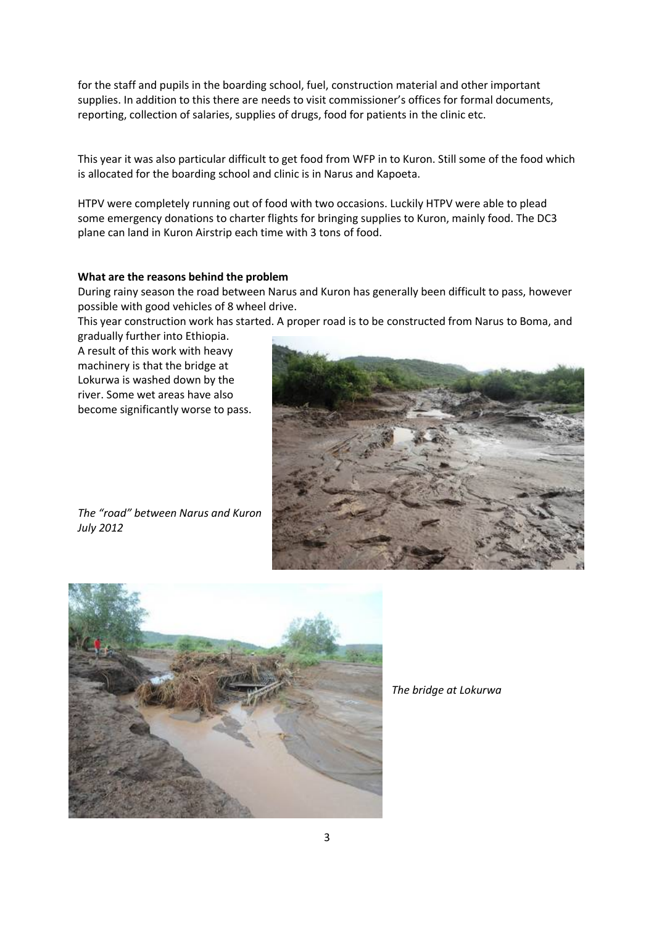for the staff and pupils in the boarding school, fuel, construction material and other important supplies. In addition to this there are needs to visit commissioner's offices for formal documents, reporting, collection of salaries, supplies of drugs, food for patients in the clinic etc.

This year it was also particular difficult to get food from WFP in to Kuron. Still some of the food which is allocated for the boarding school and clinic is in Narus and Kapoeta.

HTPV were completely running out of food with two occasions. Luckily HTPV were able to plead some emergency donations to charter flights for bringing supplies to Kuron, mainly food. The DC3 plane can land in Kuron Airstrip each time with 3 tons of food.

#### **What are the reasons behind the problem**

During rainy season the road between Narus and Kuron has generally been difficult to pass, however possible with good vehicles of 8 wheel drive.

This year construction work has started. A proper road is to be constructed from Narus to Boma, and

gradually further into Ethiopia. A result of this work with heavy machinery is that the bridge at Lokurwa is washed down by the river. Some wet areas have also become significantly worse to pass.



*The "road" between Narus and Kuron July 2012*



*The bridge at Lokurwa*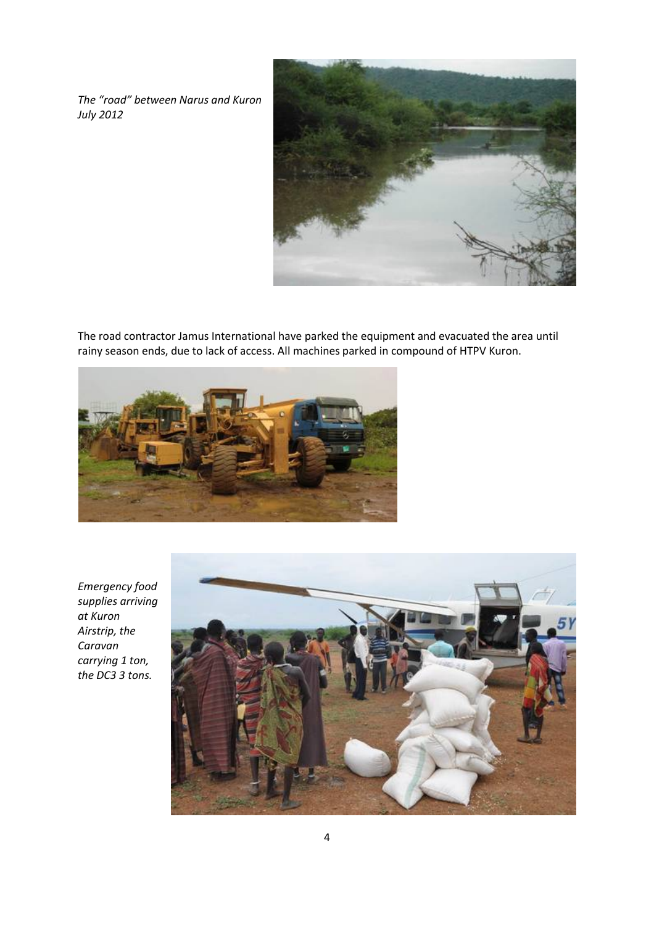*The "road" between Narus and Kuron July 2012*



The road contractor Jamus International have parked the equipment and evacuated the area until rainy season ends, due to lack of access. All machines parked in compound of HTPV Kuron.



*Emergency food supplies arriving at Kuron Airstrip, the Caravan carrying 1 ton, the DC3 3 tons.*